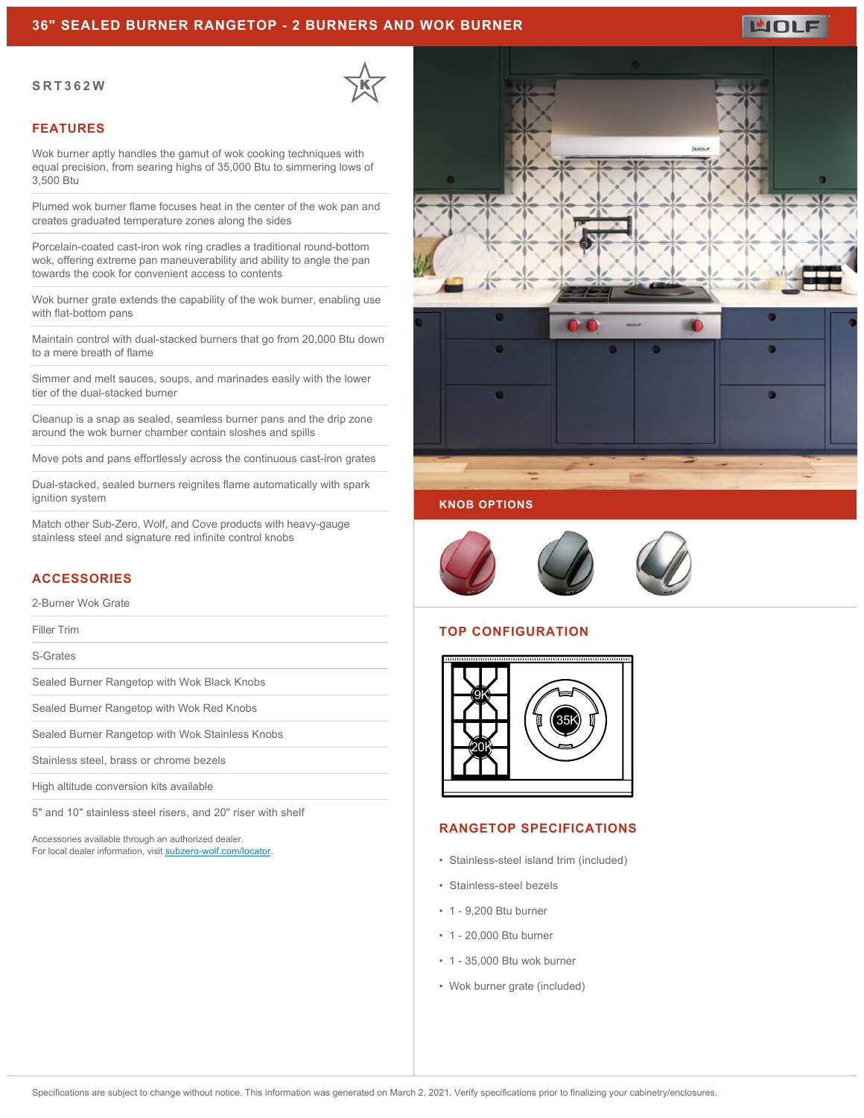### **36" SEALED BURNER RANGETOP - 2 BURNERS AND WOK BURNER**

#### **SRT362W**



### **FEATURES**

Wok burner aptly handles the gamut of wok cooking techniques with equal precision, from searing highs of 35,000 Btu to simmering lows of 3,500 Btu

Plumed wok burner flame focuses heat in the center of the wok pan and creates graduated temperature zones along the sides

Porcelain-coated cast-iron wok ring cradles a traditional round-bottom wok, offering extreme pan maneuverability and ability to angle the pan towards the cook for convenient access to contents

Wok burner grate extends the capability of the wok burner, enabling use with flat-bottom pans

Maintain control with dual-stacked burners that go from 20,000 Btu down to a mere breath of flame

Simmer and melt sauces, soups, and marinades easily with the lower tier of the dual-stacked burner

Cleanup is a snap as sealed, seamless burner pans and the drip zone around the wok burner chamber contain sloshes and spills

Move pots and pans effortlessly across the continuous cast-iron grates

Dual-stacked, sealed burners reignites flame automatically with spark ignition system

Match other Sub-Zero, Wolf, and Cove products with heavy-gauge stainless steel and signature red infinite control knobs

# **ACCESSORIES**

2-Burner Wok Grate

Filler Trim

S-Grates

Sealed Burner Rangetop with Wok Black Knobs

Sealed Burner Rangetop with Wok Red Knobs

Sealed Burner Rangetop with Wok Stainless Knobs

Stainless steel, brass or chrome bezels

High altitude conversion kits available

5" and 10" stainless steel risers, and 20" riser with shelf

Accessories available through an authorized dealer. For local dealer information, visit [subzero-wolf.com/locator.](http://www.subzero-wolf.com/locator)



WOLF



### **KNOB OPTIONS**



# **TOP CONFIGURATION**



#### **RANGETOP SPECIFICATIONS**

- Stainless-steel island trim (included)
- Stainless-steel bezels
- 1 9,200 Btu burner
- 1 20,000 Btu burner
- 1 35,000 Btu wok burner
- Wok burner grate (included)